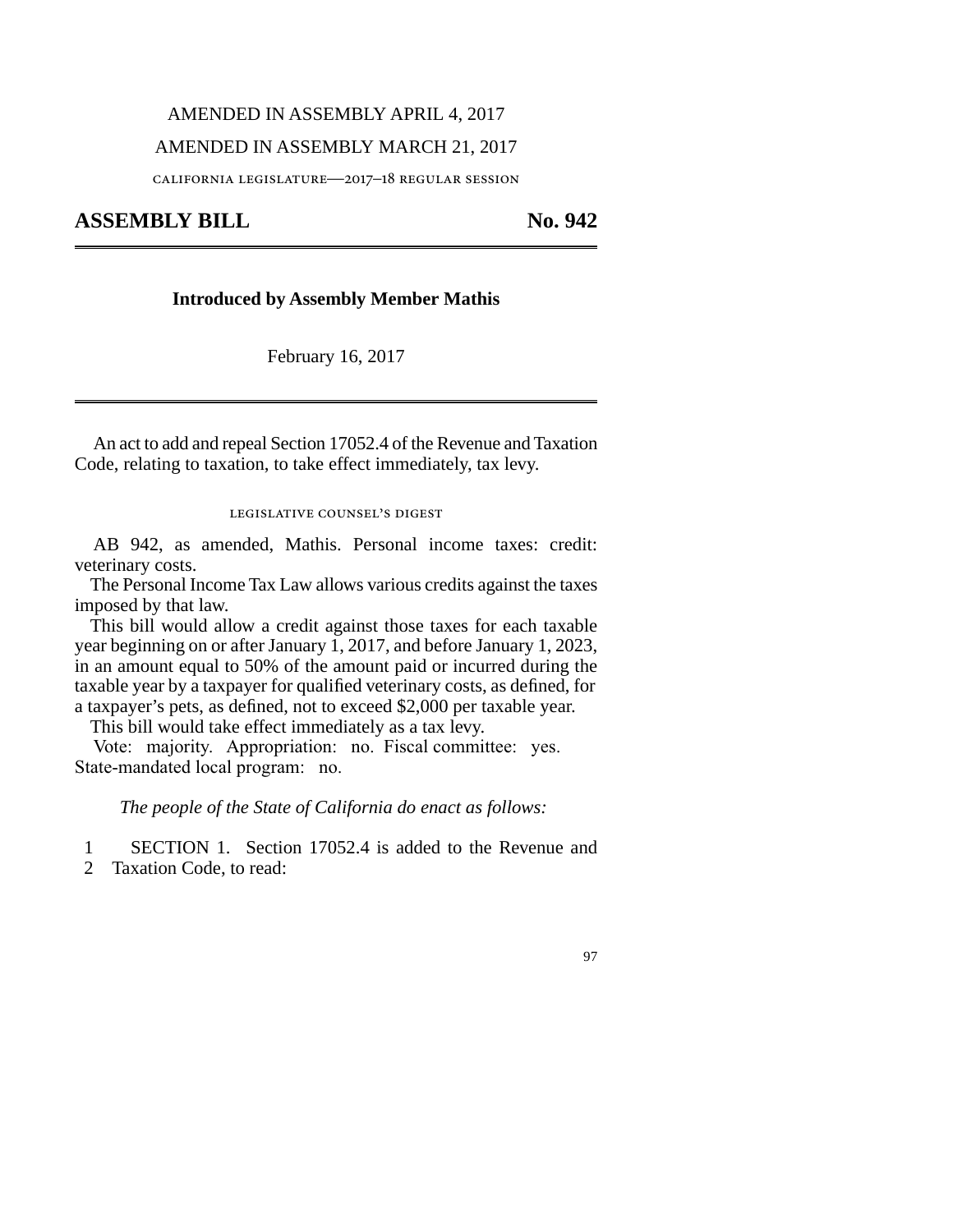# AMENDED IN ASSEMBLY APRIL 4, 2017

## AMENDED IN ASSEMBLY MARCH 21, 2017

california legislature—2017–18 regular session

**ASSEMBLY BILL No. 942** 

## **Introduced by Assembly Member Mathis**

February 16, 2017

An act to add and repeal Section 17052.4 of the Revenue and Taxation Code, relating to taxation, to take effect immediately, tax levy.

## legislative counsel's digest

AB 942, as amended, Mathis. Personal income taxes: credit: veterinary costs.

The Personal Income Tax Law allows various credits against the taxes imposed by that law.

This bill would allow a credit against those taxes for each taxable year beginning on or after January 1, 2017, and before January 1, 2023, in an amount equal to 50% of the amount paid or incurred during the taxable year by a taxpayer for qualified veterinary costs, as defined, for a taxpayer's pets, as defined, not to exceed \$2,000 per taxable year.

This bill would take effect immediately as a tax levy.

Vote: majority. Appropriation: no. Fiscal committee: yes. State-mandated local program: no.

*The people of the State of California do enact as follows:*

1 SECTION 1. Section 17052.4 is added to the Revenue and

2 Taxation Code, to read:

#### 97